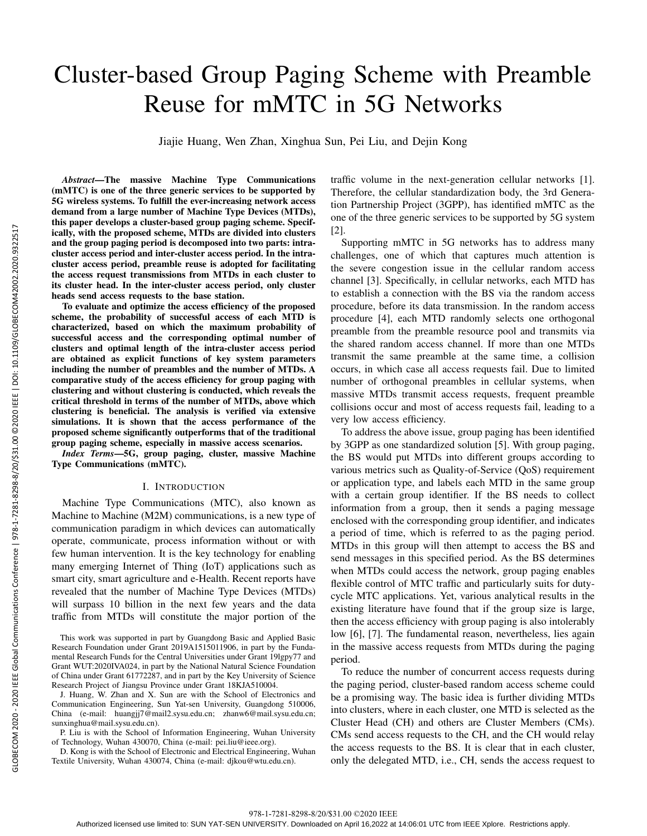# Cluster-based Group Paging Scheme with Preamble Reuse for mMTC in 5G Networks

Jiajie Huang, Wen Zhan, Xinghua Sun, Pei Liu, and Dejin Kong

*Abstract*—The massive Machine Type Communications (mMTC) is one of the three generic services to be supported by 5G wireless systems. To fulfill the ever-increasing network access demand from a large number of Machine Type Devices (MTDs), this paper develops a cluster-based group paging scheme. Specifically, with the proposed scheme, MTDs are divided into clusters and the group paging period is decomposed into two parts: intracluster access period and inter-cluster access period. In the intracluster access period, preamble reuse is adopted for facilitating the access request transmissions from MTDs in each cluster to its cluster head. In the inter-cluster access period, only cluster heads send access requests to the base station.

To evaluate and optimize the access efficiency of the proposed scheme, the probability of successful access of each MTD is characterized, based on which the maximum probability of successful access and the corresponding optimal number of clusters and optimal length of the intra-cluster access period are obtained as explicit functions of key system parameters including the number of preambles and the number of MTDs. A comparative study of the access efficiency for group paging with clustering and without clustering is conducted, which reveals the critical threshold in terms of the number of MTDs, above which clustering is beneficial. The analysis is verified via extensive simulations. It is shown that the access performance of the proposed scheme significantly outperforms that of the traditional group paging scheme, especially in massive access scenarios.

*Index Terms*—5G, group paging, cluster, massive Machine Type Communications (mMTC).

#### I. INTRODUCTION

Machine Type Communications (MTC), also known as Machine to Machine (M2M) communications, is a new type of communication paradigm in which devices can automatically operate, communicate, process information without or with few human intervention. It is the key technology for enabling many emerging Internet of Thing (IoT) applications such as smart city, smart agriculture and e-Health. Recent reports have revealed that the number of Machine Type Devices (MTDs) will surpass 10 billion in the next few years and the data traffic from MTDs will constitute the major portion of the traffic volume in the next-generation cellular networks [1]. Therefore, the cellular standardization body, the 3rd Generation Partnership Project (3GPP), has identified mMTC as the one of the three generic services to be supported by 5G system [2].

Supporting mMTC in 5G networks has to address many challenges, one of which that captures much attention is the severe congestion issue in the cellular random access channel [3]. Specifically, in cellular networks, each MTD has to establish a connection with the BS via the random access procedure, before its data transmission. In the random access procedure [4], each MTD randomly selects one orthogonal preamble from the preamble resource pool and transmits via the shared random access channel. If more than one MTDs transmit the same preamble at the same time, a collision occurs, in which case all access requests fail. Due to limited number of orthogonal preambles in cellular systems, when massive MTDs transmit access requests, frequent preamble collisions occur and most of access requests fail, leading to a very low access efficiency.

To address the above issue, group paging has been identified by 3GPP as one standardized solution [5]. With group paging, the BS would put MTDs into different groups according to various metrics such as Quality-of-Service (QoS) requirement or application type, and labels each MTD in the same group with a certain group identifier. If the BS needs to collect information from a group, then it sends a paging message enclosed with the corresponding group identifier, and indicates a period of time, which is referred to as the paging period. MTDs in this group will then attempt to access the BS and send messages in this specified period. As the BS determines when MTDs could access the network, group paging enables flexible control of MTC traffic and particularly suits for dutycycle MTC applications. Yet, various analytical results in the existing literature have found that if the group size is large, then the access efficiency with group paging is also intolerably low [6], [7]. The fundamental reason, nevertheless, lies again in the massive access requests from MTDs during the paging period.

To reduce the number of concurrent access requests during the paging period, cluster-based random access scheme could be a promising way. The basic idea is further dividing MTDs into clusters, where in each cluster, one MTD is selected as the Cluster Head (CH) and others are Cluster Members (CMs). CMs send access requests to the CH, and the CH would relay the access requests to the BS. It is clear that in each cluster, only the delegated MTD, i.e., CH, sends the access request to

This work was supported in part by Guangdong Basic and Applied Basic Research Foundation under Grant 2019A1515011906, in part by the Fundamental Research Funds for the Central Universities under Grant 19lgpy77 and Grant WUT:2020IVA024, in part by the National Natural Science Foundation of China under Grant 61772287, and in part by the Key University of Science Research Project of Jiangsu Province under Grant 18KJA510004.

J. Huang, W. Zhan and X. Sun are with the School of Electronics and Communication Engineering, Sun Yat-sen University, Guangdong 510006, China (e-mail: huangjj7@mail2.sysu.edu.cn; zhanw6@mail.sysu.edu.cn; sunxinghua@mail.sysu.edu.cn).

P. Liu is with the School of Information Engineering, Wuhan University of Technology, Wuhan 430070, China (e-mail: pei.liu@ieee.org).

D. Kong is with the School of Electronic and Electrical Engineering, Wuhan Textile University, Wuhan 430074, China (e-mail: djkou@wtu.edu.cn).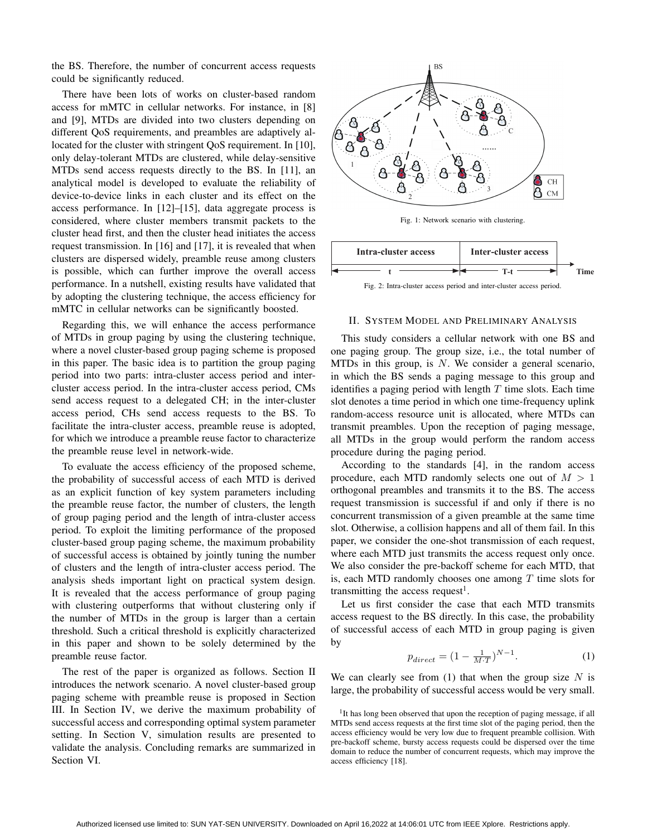the BS. Therefore, the number of concurrent access requests could be significantly reduced.

There have been lots of works on cluster-based random access for mMTC in cellular networks. For instance, in [8] and [9], MTDs are divided into two clusters depending on different QoS requirements, and preambles are adaptively allocated for the cluster with stringent QoS requirement. In [10], only delay-tolerant MTDs are clustered, while delay-sensitive MTDs send access requests directly to the BS. In [11], an analytical model is developed to evaluate the reliability of device-to-device links in each cluster and its effect on the access performance. In [12]–[15], data aggregate process is considered, where cluster members transmit packets to the cluster head first, and then the cluster head initiates the access request transmission. In [16] and [17], it is revealed that when clusters are dispersed widely, preamble reuse among clusters is possible, which can further improve the overall access performance. In a nutshell, existing results have validated that by adopting the clustering technique, the access efficiency for mMTC in cellular networks can be significantly boosted.

Regarding this, we will enhance the access performance of MTDs in group paging by using the clustering technique, where a novel cluster-based group paging scheme is proposed in this paper. The basic idea is to partition the group paging period into two parts: intra-cluster access period and intercluster access period. In the intra-cluster access period, CMs send access request to a delegated CH; in the inter-cluster access period, CHs send access requests to the BS. To facilitate the intra-cluster access, preamble reuse is adopted, for which we introduce a preamble reuse factor to characterize the preamble reuse level in network-wide.

To evaluate the access efficiency of the proposed scheme, the probability of successful access of each MTD is derived as an explicit function of key system parameters including the preamble reuse factor, the number of clusters, the length of group paging period and the length of intra-cluster access period. To exploit the limiting performance of the proposed cluster-based group paging scheme, the maximum probability of successful access is obtained by jointly tuning the number of clusters and the length of intra-cluster access period. The analysis sheds important light on practical system design. It is revealed that the access performance of group paging with clustering outperforms that without clustering only if the number of MTDs in the group is larger than a certain threshold. Such a critical threshold is explicitly characterized in this paper and shown to be solely determined by the preamble reuse factor.

The rest of the paper is organized as follows. Section II introduces the network scenario. A novel cluster-based group paging scheme with preamble reuse is proposed in Section III. In Section IV, we derive the maximum probability of successful access and corresponding optimal system parameter setting. In Section V, simulation results are presented to validate the analysis. Concluding remarks are summarized in Section VI.



Fig. 1: Network scenario with clustering.



#### II. SYSTEM MODEL AND PRELIMINARY ANALYSIS

This study considers a cellular network with one BS and one paging group. The group size, i.e., the total number of MTDs in this group, is *N*. We consider a general scenario, in which the BS sends a paging message to this group and identifies a paging period with length *T* time slots. Each time slot denotes a time period in which one time-frequency uplink random-access resource unit is allocated, where MTDs can transmit preambles. Upon the reception of paging message, all MTDs in the group would perform the random access procedure during the paging period.

According to the standards [4], in the random access procedure, each MTD randomly selects one out of *M >* 1 orthogonal preambles and transmits it to the BS. The access request transmission is successful if and only if there is no concurrent transmission of a given preamble at the same time slot. Otherwise, a collision happens and all of them fail. In this paper, we consider the one-shot transmission of each request, where each MTD just transmits the access request only once. We also consider the pre-backoff scheme for each MTD, that is, each MTD randomly chooses one among *T* time slots for transmitting the access request<sup>1</sup>.

Let us first consider the case that each MTD transmits access request to the BS directly. In this case, the probability of successful access of each MTD in group paging is given by

$$
p_{direct} = (1 - \frac{1}{M \cdot T})^{N-1}.
$$
 (1)

We can clearly see from (1) that when the group size *N* is large, the probability of successful access would be very small.

<sup>1</sup>It has long been observed that upon the reception of paging message, if all MTDs send access requests at the first time slot of the paging period, then the access efficiency would be very low due to frequent preamble collision. With pre-backoff scheme, bursty access requests could be dispersed over the time domain to reduce the number of concurrent requests, which may improve the access efficiency [18].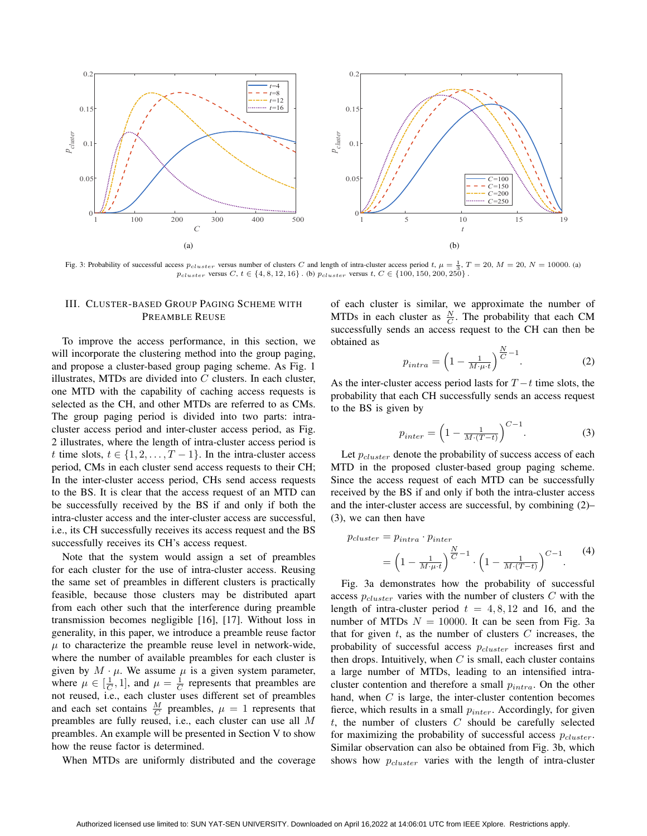

Fig. 3: Probability of successful access  $p_{cluster}$  versus number of clusters *C* and length of intra-cluster access period *t*,  $\mu = \frac{1}{3}$ ,  $T = 20$ ,  $M = 20$ ,  $N = 10000$ . (a)  $p_{cluster}$  versus  $C, t \in \{4, 8, 12, 16\}$ . (b)  $p_{cluster}$  versus  $t, C \in \{100, 150, 200, 250\}$ 

#### III. CLUSTER-BASED GROUP PAGING SCHEME WITH PREAMBLE REUSE

To improve the access performance, in this section, we will incorporate the clustering method into the group paging, and propose a cluster-based group paging scheme. As Fig. 1 illustrates, MTDs are divided into *C* clusters. In each cluster, one MTD with the capability of caching access requests is selected as the CH, and other MTDs are referred to as CMs. The group paging period is divided into two parts: intracluster access period and inter-cluster access period, as Fig. 2 illustrates, where the length of intra-cluster access period is *t* time slots,  $t \in \{1, 2, \ldots, T - 1\}$ . In the intra-cluster access period, CMs in each cluster send access requests to their CH; In the inter-cluster access period, CHs send access requests to the BS. It is clear that the access request of an MTD can be successfully received by the BS if and only if both the intra-cluster access and the inter-cluster access are successful, i.e., its CH successfully receives its access request and the BS successfully receives its CH's access request.

Note that the system would assign a set of preambles for each cluster for the use of intra-cluster access. Reusing the same set of preambles in different clusters is practically feasible, because those clusters may be distributed apart from each other such that the interference during preamble transmission becomes negligible [16], [17]. Without loss in generality, in this paper, we introduce a preamble reuse factor  $\mu$  to characterize the preamble reuse level in network-wide, where the number of available preambles for each cluster is given by  $M \cdot \mu$ . We assume  $\mu$  is a given system parameter, where  $\mu \in [\frac{1}{C}, 1]$ , and  $\mu = \frac{1}{C}$  represents that preambles are not reused, i.e., each cluster uses different set of preambles and each set contains  $\frac{M}{C}$  preambles,  $\mu = 1$  represents that preambles are fully reused, i.e., each cluster can use all *M* preambles. An example will be presented in Section V to show how the reuse factor is determined.

When MTDs are uniformly distributed and the coverage

of each cluster is similar, we approximate the number of MTDs in each cluster as  $\frac{N}{C}$ . The probability that each CM successfully sends an access request to the CH can then be obtained as

$$
p_{intra} = \left(1 - \frac{1}{M \cdot \mu \cdot t}\right)^{\frac{N}{C} - 1}.
$$
 (2)

As the inter-cluster access period lasts for *T −t* time slots, the probability that each CH successfully sends an access request to the BS is given by

$$
p_{inter} = \left(1 - \frac{1}{M \cdot (T - t)}\right)^{C - 1}.\tag{3}
$$

Let *pcluster* denote the probability of success access of each MTD in the proposed cluster-based group paging scheme. Since the access request of each MTD can be successfully received by the BS if and only if both the intra-cluster access and the inter-cluster access are successful, by combining (2)– (3), we can then have

$$
p_{cluster} = p_{intra} \cdot p_{inter}
$$
  
=  $\left(1 - \frac{1}{M \cdot \mu \cdot t}\right)^{\frac{N}{C} - 1} \cdot \left(1 - \frac{1}{M \cdot (T - t)}\right)^{C - 1}$ . (4)

Fig. 3a demonstrates how the probability of successful access *pcluster* varies with the number of clusters *C* with the length of intra-cluster period  $t = 4, 8, 12$  and 16, and the number of MTDs  $N = 10000$ . It can be seen from Fig. 3a that for given *t*, as the number of clusters *C* increases, the probability of successful access *pcluster* increases first and then drops. Intuitively, when *C* is small, each cluster contains a large number of MTDs, leading to an intensified intracluster contention and therefore a small *pintra*. On the other hand, when *C* is large, the inter-cluster contention becomes fierce, which results in a small *pinter*. Accordingly, for given *t*, the number of clusters *C* should be carefully selected for maximizing the probability of successful access *pcluster*. Similar observation can also be obtained from Fig. 3b, which shows how *pcluster* varies with the length of intra-cluster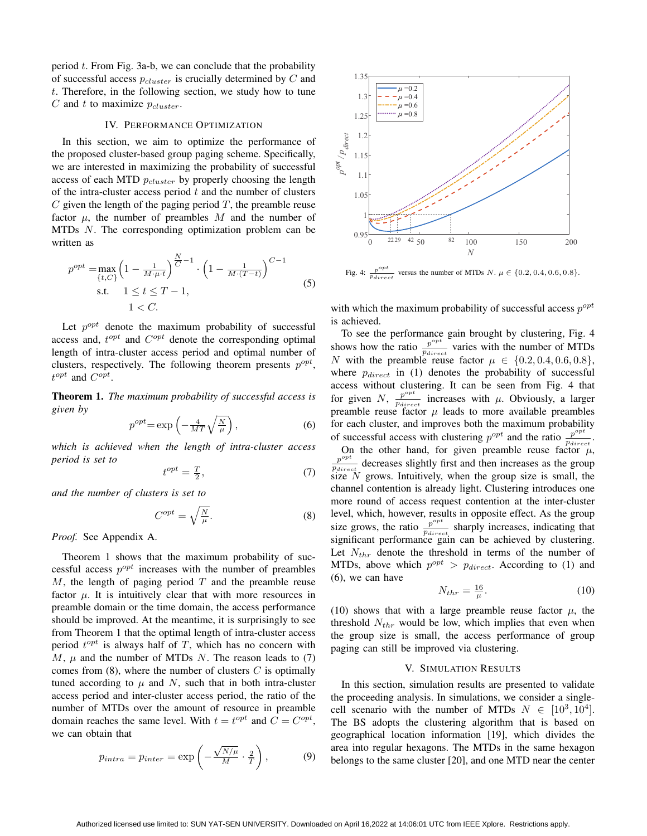period *t*. From Fig. 3a-b, we can conclude that the probability of successful access *pcluster* is crucially determined by *C* and *t*. Therefore, in the following section, we study how to tune *C* and *t* to maximize *pcluster*.

#### IV. PERFORMANCE OPTIMIZATION

In this section, we aim to optimize the performance of the proposed cluster-based group paging scheme. Specifically, we are interested in maximizing the probability of successful access of each MTD *pcluster* by properly choosing the length of the intra-cluster access period *t* and the number of clusters  $C$  given the length of the paging period  $T$ , the preamble reuse factor  $\mu$ , the number of preambles  $M$  and the number of MTDs *N*. The corresponding optimization problem can be written as

$$
p^{opt} = \max_{\{t, C\}} \left( 1 - \frac{1}{M \cdot \mu \cdot t} \right)^{\frac{N}{C} - 1} \cdot \left( 1 - \frac{1}{M \cdot (T - t)} \right)^{C - 1}
$$
  
s.t.  $1 \le t \le T - 1$ ,  
 $1 < C$ . (5)

Let  $p^{opt}$  denote the maximum probability of successful access and,  $t^{opt}$  and  $C^{opt}$  denote the corresponding optimal length of intra-cluster access period and optimal number of clusters, respectively. The following theorem presents  $p^{opt}$ , *t opt* and *C opt* .

Theorem 1. *The maximum probability of successful access is given by*

$$
p^{opt} = \exp\left(-\frac{4}{MT}\sqrt{\frac{N}{\mu}}\right),\tag{6}
$$

*which is achieved when the length of intra-cluster access period is set to*

$$
t^{opt} = \frac{T}{2},\tag{7}
$$

*and the number of clusters is set to*

$$
C^{opt} = \sqrt{\frac{N}{\mu}}.\tag{8}
$$

*Proof.* See Appendix A.

Theorem 1 shows that the maximum probability of successful access  $p^{opt}$  increases with the number of preambles *M*, the length of paging period *T* and the preamble reuse factor  $\mu$ . It is intuitively clear that with more resources in preamble domain or the time domain, the access performance should be improved. At the meantime, it is surprisingly to see from Theorem 1 that the optimal length of intra-cluster access period  $t^{opt}$  is always half of  $T$ , which has no concern with  $M$ ,  $\mu$  and the number of MTDs *N*. The reason leads to (7) comes from (8), where the number of clusters *C* is optimally tuned according to  $\mu$  and N, such that in both intra-cluster access period and inter-cluster access period, the ratio of the number of MTDs over the amount of resource in preamble domain reaches the same level. With  $t = t^{opt}$  and  $C = C^{opt}$ , we can obtain that

$$
p_{intra} = p_{inter} = \exp\left(-\frac{\sqrt{N/\mu}}{M} \cdot \frac{2}{T}\right),\tag{9}
$$



Fig. 4: *<sup>p</sup> pdirect* versus the number of MTDs  $N$ .  $\mu \in \{0.2, 0.4, 0.6, 0.8\}$ .

with which the maximum probability of successful access  $p^{opt}$ is achieved.

To see the performance gain brought by clustering, Fig. 4 shows how the ratio  $\frac{p^{opt}}{p}$  $p_{direct}^{\frac{p^{n}}{p_{direct}}}$  varies with the number of MTDs *N* with the preamble reuse factor  $\mu \in \{0.2, 0.4, 0.6, 0.8\}$ , where *pdirect* in (1) denotes the probability of successful access without clustering. It can be seen from Fig. 4 that for given *N*,  $\frac{p^{opt}}{p}$  $\frac{p^{\sigma}P}{p_{direct}}$  increases with  $\mu$ . Obviously, a larger preamble reuse factor  $\mu$  leads to more available preambles for each cluster, and improves both the maximum probability of successful access with clustering  $p^{opt}$  and the ratio  $\frac{p^{opt}}{p}$  $\frac{p}{p_{direct}}$ .

On the other hand, for given preamble reuse factor  $\mu$ ,  $p^{opt}$  decreases slightly first and then increases as the group *p<sub>direct</sub>* decreases signary inst and then increases as the group size *N* grows. Intuitively, when the group size is small, the channel contention is already light. Clustering introduces one more round of access request contention at the inter-cluster level, which, however, results in opposite effect. As the group size grows, the ratio  $\frac{p^{opt}}{p}$  $\frac{p^{2r}}{p_{direct}}$  sharply increases, indicating that significant performance gain can be achieved by clustering. Let  $N_{thr}$  denote the threshold in terms of the number of MTDs, above which  $p^{opt} > p_{direct}$ . According to (1) and (6), we can have

$$
N_{thr} = \frac{16}{\mu}.\tag{10}
$$

(10) shows that with a large preamble reuse factor  $\mu$ , the threshold  $N_{thr}$  would be low, which implies that even when the group size is small, the access performance of group paging can still be improved via clustering.

#### V. SIMULATION RESULTS

In this section, simulation results are presented to validate the proceeding analysis. In simulations, we consider a singlecell scenario with the number of MTDs  $N \in [10^3, 10^4]$ . The BS adopts the clustering algorithm that is based on geographical location information [19], which divides the area into regular hexagons. The MTDs in the same hexagon belongs to the same cluster [20], and one MTD near the center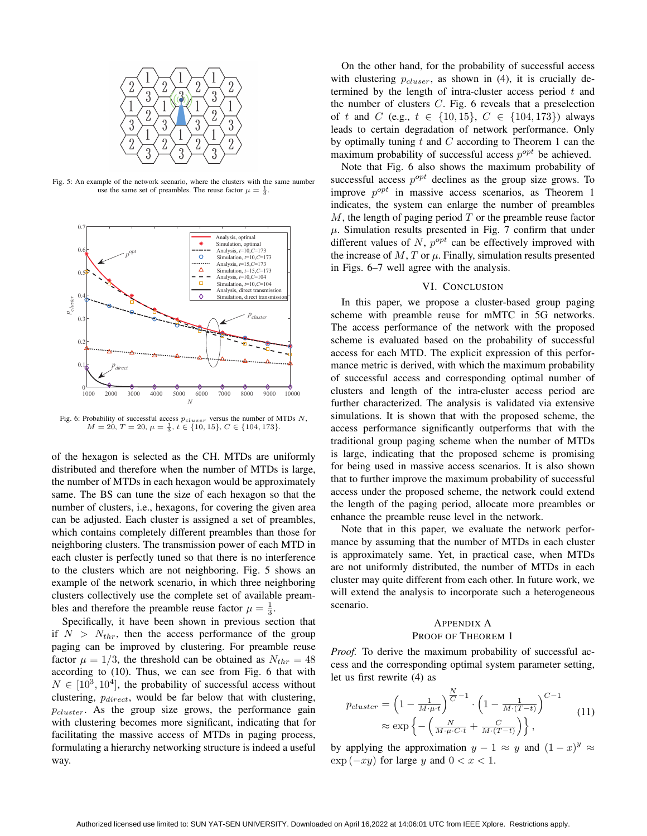

Fig. 5: An example of the network scenario, where the clusters with the same number use the same set of preambles. The reuse factor  $\mu = \frac{1}{3}$ .



Fig. 6: Probability of successful access *pcluser* versus the number of MTDs *N*,  $M = 20, T = 20, \mu = \frac{1}{3}, t \in \{10, 15\}, C \in \{104, 173\}.$ 

of the hexagon is selected as the CH. MTDs are uniformly distributed and therefore when the number of MTDs is large, the number of MTDs in each hexagon would be approximately same. The BS can tune the size of each hexagon so that the number of clusters, i.e., hexagons, for covering the given area can be adjusted. Each cluster is assigned a set of preambles, which contains completely different preambles than those for neighboring clusters. The transmission power of each MTD in each cluster is perfectly tuned so that there is no interference to the clusters which are not neighboring. Fig. 5 shows an example of the network scenario, in which three neighboring clusters collectively use the complete set of available preambles and therefore the preamble reuse factor  $\mu = \frac{1}{3}$ .

Specifically, it have been shown in previous section that if  $N > N_{thr}$ , then the access performance of the group paging can be improved by clustering. For preamble reuse factor  $\mu = 1/3$ , the threshold can be obtained as  $N_{thr} = 48$ according to (10). Thus, we can see from Fig. 6 that with  $N \in [10^3, 10^4]$ , the probability of successful access without clustering, *pdirect*, would be far below that with clustering, *pcluster*. As the group size grows, the performance gain with clustering becomes more significant, indicating that for facilitating the massive access of MTDs in paging process, formulating a hierarchy networking structure is indeed a useful way.

On the other hand, for the probability of successful access with clustering  $p_{cluster}$ , as shown in (4), it is crucially determined by the length of intra-cluster access period *t* and the number of clusters *C*. Fig. 6 reveals that a preselection of *t* and *C* (e.g.,  $t \in \{10, 15\}$ ,  $C \in \{104, 173\}$ ) always leads to certain degradation of network performance. Only by optimally tuning *t* and *C* according to Theorem 1 can the maximum probability of successful access  $p^{opt}$  be achieved.

Note that Fig. 6 also shows the maximum probability of successful access  $p^{opt}$  declines as the group size grows. To improve  $p^{opt}$  in massive access scenarios, as Theorem 1 indicates, the system can enlarge the number of preambles *M*, the length of paging period *T* or the preamble reuse factor  $\mu$ . Simulation results presented in Fig. 7 confirm that under different values of  $N$ ,  $p^{opt}$  can be effectively improved with the increase of  $M$ ,  $T$  or  $\mu$ . Finally, simulation results presented in Figs. 6–7 well agree with the analysis.

#### VI. CONCLUSION

In this paper, we propose a cluster-based group paging scheme with preamble reuse for mMTC in 5G networks. The access performance of the network with the proposed scheme is evaluated based on the probability of successful access for each MTD. The explicit expression of this performance metric is derived, with which the maximum probability of successful access and corresponding optimal number of clusters and length of the intra-cluster access period are further characterized. The analysis is validated via extensive simulations. It is shown that with the proposed scheme, the access performance significantly outperforms that with the traditional group paging scheme when the number of MTDs is large, indicating that the proposed scheme is promising for being used in massive access scenarios. It is also shown that to further improve the maximum probability of successful access under the proposed scheme, the network could extend the length of the paging period, allocate more preambles or enhance the preamble reuse level in the network.

Note that in this paper, we evaluate the network performance by assuming that the number of MTDs in each cluster is approximately same. Yet, in practical case, when MTDs are not uniformly distributed, the number of MTDs in each cluster may quite different from each other. In future work, we will extend the analysis to incorporate such a heterogeneous scenario.

## APPENDIX A

### PROOF OF THEOREM 1

*Proof.* To derive the maximum probability of successful access and the corresponding optimal system parameter setting, let us first rewrite (4) as

$$
p_{cluster} = \left(1 - \frac{1}{M \cdot \mu \cdot t}\right)^{\frac{N}{C} - 1} \cdot \left(1 - \frac{1}{M \cdot (T - t)}\right)^{C - 1}
$$

$$
\approx \exp\left\{-\left(\frac{N}{M \cdot \mu \cdot C \cdot t} + \frac{C}{M \cdot (T - t)}\right)\right\},\tag{11}
$$

by applying the approximation  $y - 1 \approx y$  and  $(1 - x)^y \approx$ exp (*−xy*) for large *y* and 0 *< x <* 1.